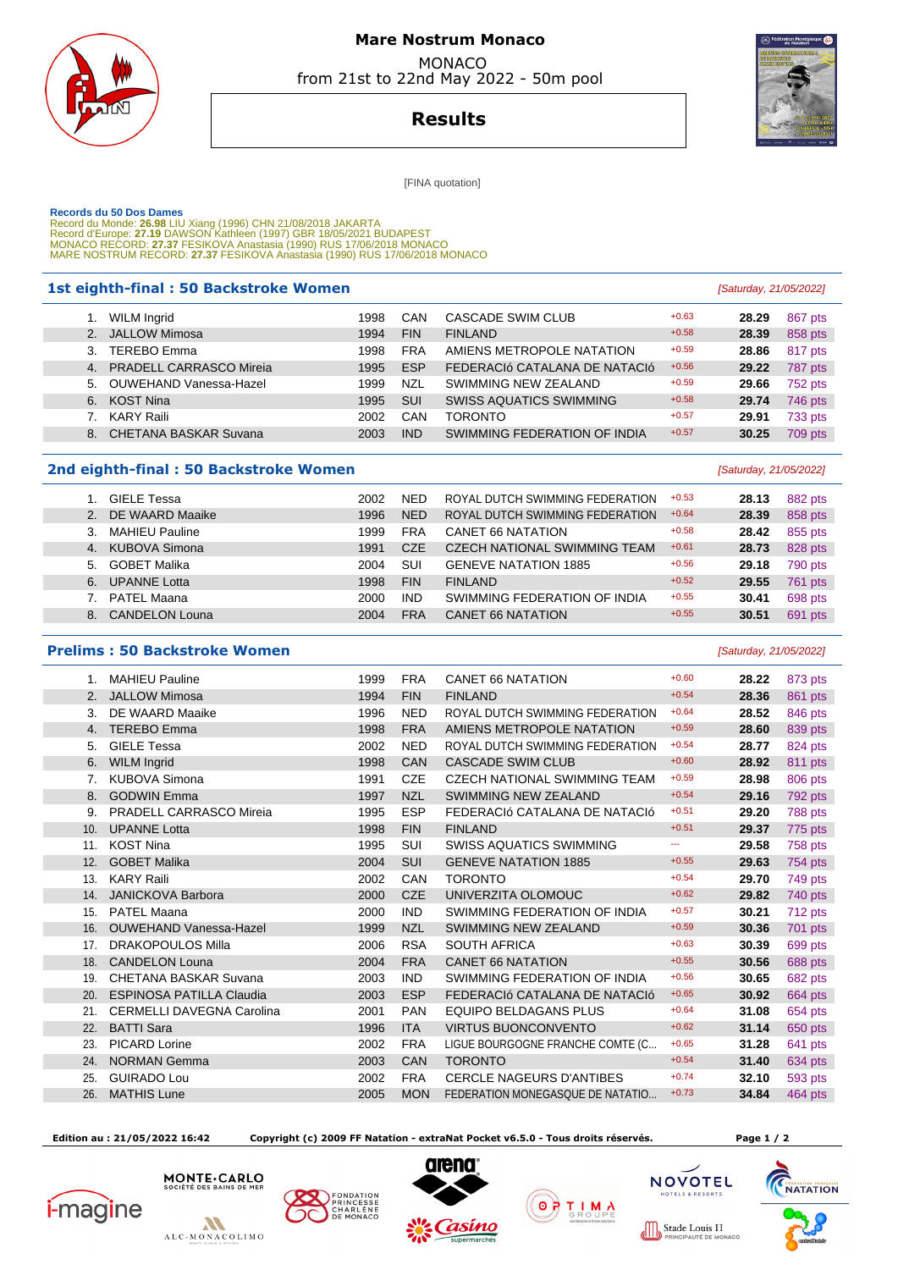

# **Mare Nostrum Monaco**  MONACO

from 21st to 22nd May 2022 - 50m pool

**Results**

[FINA quotation]

Г

Records du 50 Dos Dames<br>Record du Monde: 26.98 LIU Xiang (1996) CHN 21/08/2018 JAKARTA<br>Record d'Europe: 27.19 DAWSON Kathleen (1997) GBR 18/05/2021 BUDAPEST<br>MONACO RECORD: 27.37 FESIKOVA Anastasia (1990) RUS 17/06/2018 MON

### **1st eighth-final : 50 Backstroke Women and the set of the set of the set of the set of the set of the set of the set of the set of the set of the set of the set of the set of the set of the set of the set of the set of**

|    | WILM Ingrid                | 1998 | CAN        | CASCADE SWIM CLUB              | $+0.63$ | 28.29 | 867 pts |
|----|----------------------------|------|------------|--------------------------------|---------|-------|---------|
|    | 2. JALLOW Mimosa           | 1994 | <b>FIN</b> | <b>FINLAND</b>                 | $+0.58$ | 28.39 | 858 pts |
| 3. | TEREBO Emma                | 1998 | <b>FRA</b> | AMIENS METROPOLE NATATION      | $+0.59$ | 28.86 | 817 pts |
|    | 4. PRADELL CARRASCO Mireia | 1995 | <b>ESP</b> | FEDERACIÓ CATALANA DE NATACIÓ  | $+0.56$ | 29.22 | 787 pts |
|    | 5. OUWEHAND Vanessa-Hazel  | 1999 | <b>NZL</b> | SWIMMING NEW ZEALAND           | $+0.59$ | 29.66 | 752 pts |
|    | 6. KOST Nina               | 1995 | <b>SUI</b> | <b>SWISS AQUATICS SWIMMING</b> | $+0.58$ | 29.74 | 746 pts |
|    | KARY Raili                 | 2002 | CAN        | <b>TORONTO</b>                 | $+0.57$ | 29.91 | 733 pts |
|    | 8. CHETANA BASKAR Suvana   | 2003 | <b>IND</b> | SWIMMING FEDERATION OF INDIA   | $+0.57$ | 30.25 | 709 pts |
|    |                            |      |            |                                |         |       |         |

#### **2nd eighth-final : 50 Backstroke Women Example 2nd eighth-final : 50 Backstroke Women**

| GIELE Tessa                 | 2002 | <b>NED</b> | ROYAL DUTCH SWIMMING FEDERATION     | $+0.53$ | 28.13 | 882 pts |
|-----------------------------|------|------------|-------------------------------------|---------|-------|---------|
| 2. DE WAARD Maaike          | 1996 | <b>NED</b> | ROYAL DUTCH SWIMMING FEDERATION     | $+0.64$ | 28.39 | 858 pts |
| <b>MAHIEU Pauline</b><br>3. | 1999 | <b>FRA</b> | <b>CANET 66 NATATION</b>            | $+0.58$ | 28.42 | 855 pts |
| 4. KUBOVA Simona            | 1991 | CZE        | <b>CZECH NATIONAL SWIMMING TEAM</b> | $+0.61$ | 28.73 | 828 pts |
| 5. GOBET Malika             | 2004 | SUI        | <b>GENEVE NATATION 1885</b>         | $+0.56$ | 29.18 | 790 pts |
| <b>UPANNE Lotta</b><br>6.   | 1998 | <b>FIN</b> | <b>FINLAND</b>                      | $+0.52$ | 29.55 | 761 pts |
| PATEL Maana                 | 2000 | <b>IND</b> | SWIMMING FEDERATION OF INDIA        | $+0.55$ | 30.41 | 698 pts |
| CANDELON Louna<br>8.        | 2004 | <b>FRA</b> | <b>CANET 66 NATATION</b>            | $+0.55$ | 30.51 | 691 pts |

#### **Prelims : 50 Backstroke Women Example 2018 Contract Contract Contract Contract Contract Contract Contract Contract Contract Contract Contract Contract Contract Contract Contract Contract Contract Contract Contract Con**

| $1_{\cdot}$ | <b>MAHIEU Pauline</b>            | 1999 | <b>FRA</b> | <b>CANET 66 NATATION</b>            | $+0.60$ | 28.22 | 873 pts |
|-------------|----------------------------------|------|------------|-------------------------------------|---------|-------|---------|
| 2.          | <b>JALLOW Mimosa</b>             | 1994 | <b>FIN</b> | <b>FINLAND</b>                      | $+0.54$ | 28.36 | 861 pts |
| 3.          | DE WAARD Maaike                  | 1996 | <b>NED</b> | ROYAL DUTCH SWIMMING FEDERATION     | $+0.64$ | 28.52 | 846 pts |
| 4.          | <b>TEREBO Emma</b>               | 1998 | <b>FRA</b> | AMIENS METROPOLE NATATION           | $+0.59$ | 28.60 | 839 pts |
| 5.          | <b>GIELE Tessa</b>               | 2002 | <b>NED</b> | ROYAL DUTCH SWIMMING FEDERATION     | $+0.54$ | 28.77 | 824 pts |
| 6.          | <b>WILM Ingrid</b>               | 1998 | CAN        | <b>CASCADE SWIM CLUB</b>            | $+0.60$ | 28.92 | 811 pts |
| 7.          | KUBOVA Simona                    | 1991 | CZE        | <b>CZECH NATIONAL SWIMMING TEAM</b> | $+0.59$ | 28.98 | 806 pts |
| 8.          | <b>GODWIN Emma</b>               | 1997 | <b>NZL</b> | SWIMMING NEW ZEALAND                | $+0.54$ | 29.16 | 792 pts |
| 9.          | <b>PRADELL CARRASCO Mireia</b>   | 1995 | <b>ESP</b> | FEDERACIÓ CATALANA DE NATACIÓ       | $+0.51$ | 29.20 | 788 pts |
| 10.         | <b>UPANNE Lotta</b>              | 1998 | <b>FIN</b> | <b>FINLAND</b>                      | $+0.51$ | 29.37 | 775 pts |
| 11.         | <b>KOST Nina</b>                 | 1995 | <b>SUI</b> | <b>SWISS AQUATICS SWIMMING</b>      | ---     | 29.58 | 758 pts |
| 12.         | <b>GOBET Malika</b>              | 2004 | <b>SUI</b> | <b>GENEVE NATATION 1885</b>         | $+0.55$ | 29.63 | 754 pts |
| 13.         | <b>KARY Raili</b>                | 2002 | CAN        | <b>TORONTO</b>                      | $+0.54$ | 29.70 | 749 pts |
| 14.         | <b>JANICKOVA Barbora</b>         | 2000 | <b>CZE</b> | UNIVERZITA OLOMOUC                  | $+0.62$ | 29.82 | 740 pts |
| 15.         | <b>PATEL Maana</b>               | 2000 | <b>IND</b> | SWIMMING FEDERATION OF INDIA        | $+0.57$ | 30.21 | 712 pts |
| 16.         | <b>OUWEHAND Vanessa-Hazel</b>    | 1999 | <b>NZL</b> | SWIMMING NEW ZEALAND                | $+0.59$ | 30.36 | 701 pts |
| 17.         | <b>DRAKOPOULOS Milla</b>         | 2006 | <b>RSA</b> | <b>SOUTH AFRICA</b>                 | $+0.63$ | 30.39 | 699 pts |
| 18.         | <b>CANDELON Louna</b>            | 2004 | <b>FRA</b> | <b>CANET 66 NATATION</b>            | $+0.55$ | 30.56 | 688 pts |
| 19.         | CHETANA BASKAR Suvana            | 2003 | <b>IND</b> | SWIMMING FEDERATION OF INDIA        | $+0.56$ | 30.65 | 682 pts |
| 20.         | <b>ESPINOSA PATILLA Claudia</b>  | 2003 | <b>ESP</b> | FEDERACIÓ CATALANA DE NATACIÓ       | $+0.65$ | 30.92 | 664 pts |
| 21.         | <b>CERMELLI DAVEGNA Carolina</b> | 2001 | <b>PAN</b> | <b>EQUIPO BELDAGANS PLUS</b>        | $+0.64$ | 31.08 | 654 pts |
| 22.         | <b>BATTI Sara</b>                | 1996 | <b>ITA</b> | <b>VIRTUS BUONCONVENTO</b>          | $+0.62$ | 31.14 | 650 pts |
| 23.         | <b>PICARD Lorine</b>             | 2002 | <b>FRA</b> | LIGUE BOURGOGNE FRANCHE COMTE (C    | $+0.65$ | 31.28 | 641 pts |
| 24.         | <b>NORMAN Gemma</b>              | 2003 | CAN        | <b>TORONTO</b>                      | $+0.54$ | 31.40 | 634 pts |
| 25.         | <b>GUIRADO Lou</b>               | 2002 | <b>FRA</b> | <b>CERCLE NAGEURS D'ANTIBES</b>     | $+0.74$ | 32.10 | 593 pts |
| 26.         | <b>MATHIS Lune</b>               | 2005 | <b>MON</b> | FEDERATION MONEGASQUE DE NATATIO    | $+0.73$ | 34.84 | 464 pts |
|             |                                  |      |            |                                     |         |       |         |

 **Edition au : 21/05/2022 16:42 Copyright (c) 2009 FF Natation - extraNat Pocket v6.5.0 - Tous droits réservés. Page 1 / 2** 













**NOVOTEL** 

 $T = 1$   $T = 1$